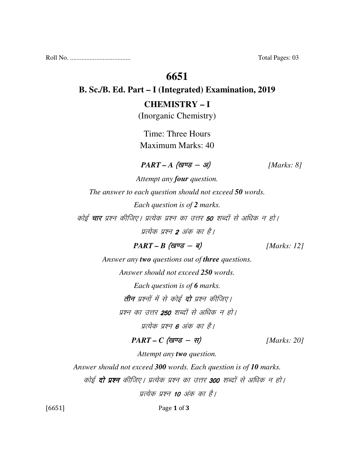Roll No. ..................................... Total Pages: 03

## **6651**

### **B. Sc./B. Ed. Part – I (Integrated) Examination, 2019**

#### **CHEMISTRY – I**

(Inorganic Chemistry)

Time: Three Hours Maximum Marks: 40

#### $PART - A$  (<del>guse - 31</del>) [Marks: 8]

*Attempt any four question. The answer to each question should not exceed 50 words. Each question is of 2 marks.*  कोई **चार** प्रश्न कीजिए। प्रत्येक प्रश्न का उत्तर **50** शब्दों से अधिक न हो। पत्येक प्रश्न 2 अंक का है।

 $PART - B$  (*g* $\vec{v} = -\vec{q}$ ) [*Marks: 12*]

*Answer any two questions out of three questions. Answer should not exceed 250 words.* 

*Each question is of 6 marks.* 

**तीन** प्रश्नों में से कोई **दो** प्रश्न कीजिए।

प्रश्न का उत्तर **250** शब्दों से अधिक न हो।

प्रत्येक प्रश्न **6** अंक का है।

 $PART - C$  (खण्ड - स) [Marks: 20]

*Attempt any two question.* 

*Answer should not exceed 300 words. Each question is of 10 marks.* 

कोई **दो प्रश्न** कीजिए। प्रत्येक प्रश्न का उत्तर 300 शब्दों से अधिक न हो।

प्रत्येक प्रश्न 10 अंक का है।

[6651] Page 1 of 3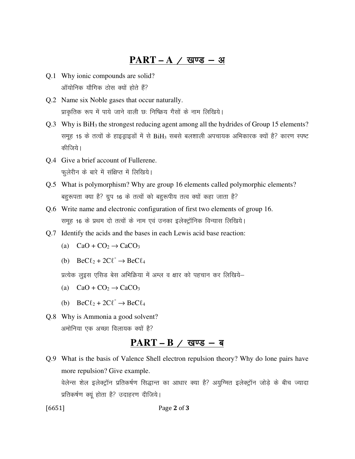## $\overline{PART - A}$  / खण्ड - अ

- Q.1 Why ionic compounds are solid? <u>ऑयोनिक यौगिक ठोस क्यों होते हैं?</u>
- Q.2 Name six Noble gases that occur naturally. प्राकृतिक रूप में पाये जाने वाली छः निष्क्रिय गैसों के नाम लिखिये।
- Q.3 Why is BiH3 the strongest reducing agent among all the hydrides of Group 15 elements? समूह 15 के तत्वों के हाइड्राइडों में से BiH<sub>3</sub> सबसे बलशाली अपचायक अभिकारक क्यों है? कारण स्पष्ट कीजिये।
- Q.4 Give a brief account of Fullerene. फुलेरीन के बारे में संक्षिप्त में लिखिये।
- Q.5 What is polymorphism? Why are group 16 elements called polymorphic elements? बहुरूपता क्या है? ग्रुप 16 के तत्वों को बहुरूपीय तत्व क्यों कहा जाता है?
- Q.6 Write name and electronic configuration of first two elements of group 16. समूह 16 के प्रथम दो तत्वों के नाम एवं उनका इलेक्ट्रॉनिक विन्यास लिखिये।
- Q.7 Identify the acids and the bases in each Lewis acid base reaction:
	- (a)  $CaO + CO<sub>2</sub> \rightarrow CaCO<sub>3</sub>$
- (b)  $\text{BeC}\ell_2 + 2\text{C}\ell^{\text{-}} \rightarrow \text{BeC}\ell_4$

प्रत्येक लुइस एसिड बेस अभिक्रिया में अम्ल व क्षार को पहचान कर लिखिये–

- (a)  $CaO + CO<sub>2</sub> \rightarrow CaCO<sub>3</sub>$
- (b)  $\text{BeC}\ell_2 + 2\text{C}\ell^{\text{-}} \rightarrow \text{BeC}\ell_4$
- Q.8 Why is Ammonia a good solvent? अमोनिया एक अच्छा विलायक क्यों है?

#### PART – B / खण्ड – ब

Q.9 What is the basis of Valence Shell electron repulsion theory? Why do lone pairs have more repulsion? Give example.

वेलेन्स शेल इलेक्ट्रॉन प्रतिकर्षण सिद्धान्त का आधार क्या है? अयुग्मित इलेक्ट्रॉन जोड़े के बीच ज्यादा प्रतिकर्षण क्यूं होता है? उदाहरण दीजिये।

[6651] Page 2 of 3